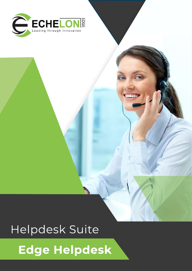

# Helpdesk Suite

# **Edge Helpdesk**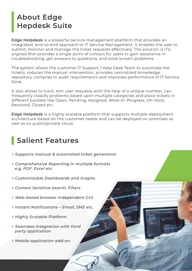# **About Edge Hepdesk Suite**

**Edge Helpdesk** is a powerful service management platform that provides an integrated, end-to-end approach to IT Service Management. It enables the user to submit, monitor and manage the ticket requests effectively. The solution is ITIL aligned that provides a single point of contact for users to gain assistance in troubleshooting, get answers to questions, and solve known problems.

The system allows the customer IT Support / Help Desk Team to automate the tickets, reduces the manual intervention, provides centralized knowledge repository, complies to audit requirements and improves performance of IT Service Desk.

It also allows to track, sort user requests with the help of a unique number, can frequently classify problems based upon multiple categories and place tickets in different buckets like Open, Pending, Assigned, Work-In–Progress, On-Hold, Resolved, Closed etc.

**Edge Helpdesk** is a highly scalable platform that supports multiple deployment architecture based on the customer needs and can be deployed on-premises as well as on public/private cloud.

# **Salient Features**

- *> Supports manual & automated ticket generation*
- *> Comprehensive Reporting in multiple formats e.g. PDF, Excel etc.*
- *> Customizable Dashboards and Graphs*
- *> Context Sensitive search, Filters*
- *> Web-based browser independent GUI*
- *> Instant Notifications Email, SMS etc.*
- *> Highly Scalable Platform*
- *> Seamless Integration with third party application*
- *> Mobile application add-on*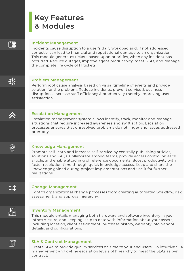### **Key Features & Modules**

# ≧€

### **Incident Management**

Incidents cause disruption to a user's daily workload and, if not addressed correctly, can lead to financial and reputational damage to an organization. This module generates tickets based upon priorities, when any incident has occurred. Reduce outages, improve agent productivity, meet SLAs, and manage the complete life cycle of IT tickets.

### **Problem Management**

Perform root cause analysis based on visual timeline of events and provide solution for the problem. Reduce incidents; prevent service & business disruptions, increase staff efficiency & productivity thereby improving user satisfaction.

### **Escalation Management**

Escalation management system allows identify, track, monitor and manage situations that require increased awareness and swift action. Escalation processes ensures that unresolved problems do not linger and issues addressed promptly.

### **Knowledge Management**

Promote self-learn and increase self-service by centrally publishing articles, solutions and FAQs. Collaborate among teams, provide access control on each article, and enable attaching of reference documents. Boost productivity with faster resolution time through quick knowledge access. Keep and share the knowledge gained during project implementations and use it for further realizations.

### **Change Management**

Control organizational change processes from creating automated workflow, risk assessment, and approval hierarchy.

# لملية<br>سليتا

하

### **Inventory Management**

This module entails managing both hardware and software inventory in your infrastructure, and keeping it up to date with information about your assets, including location, client assignment, purchase history, warranty info, vendor details, and configurations.

### **SLA & Contract Management**

Create SLAs to provide quality services on time to your end users. Do intuitive SLA management and define escalation levels of hierarchy to meet the SLAs as per contract.



コヱ

Ó,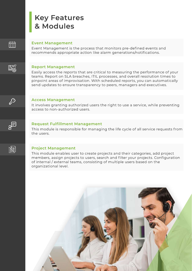### **Key Features & Modules**



#### **Event Management**

Event Management is the process that monitors pre-defined events and recommends appropriate action like alarm generations/notifications.



#### **Report Management**

Easily access the reports that are critical to measuring the performance of your teams. Report on SLA breaches, ITIL processes, and overall resolution times to pinpoint areas of improvisation. With scheduled reports, you can automatically send updates to ensure transparency to peers, managers and executives.



### **Access Management**

It involves granting authorized users the right to use a service, while preventing access to non-authorized users.



#### **Request Fulfillment Management**

This module is responsible for managing the life cycle of all service requests from the users.



#### **Project Management**

This module enables user to create projects and their categories, add project members, assign projects to users, search and filter your projects. Configuration of internal / external teams, consisting of multiple users based on the organizational level.

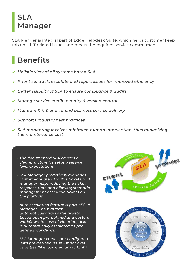# **SLA Manager**

SLA Manger is integral part of **Edge Helpdesk Suite**, which helps customer keep tab on all IT related issues and meets the required service commitment.

# **Benefits**

- *Holistic view of all systems based SLA*
- *Prioritize, track, escalate and report issues for improved efficiency*
- *Better visibility of SLA to ensure compliance & audits*
- *Manage service credit, penalty & version control*
- *Maintain KPI & end-to-end business service delivery*
- *Supports industry best practices*
- *SLA monitoring involves minimum human intervention, thus minimizing the maintenance cost*
	- *The documented SLA creates a clearer picture for setting service level expectations.*
	- *SLA Manager proactively manages customer related Trouble tickets. SLA manager helps reducing the ticket response time and allows systematic management of trouble tickets on the platform.*
	- *Auto escalation feature is part of SLA Manager. The platform automatically tracks the tickets based upon pre-defined and custom workflows. In case of violation, ticket is automatically escalated as per defined workflows.*
	- *SLA Manager comes pre-configured with pre-defined issue list or ticket priorities (like low, medium or high).*

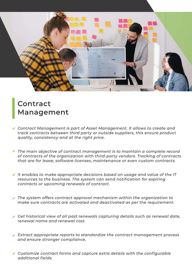

### **Contract Management**

- *Contract Management is part of Asset Management. It allows to create and track contracts between third party or outside suppliers, this ensure product quality, consistency and at the right price.*
- *The main objective of contract management is to maintain a complete record of contracts of the organization with third-party vendors. Tracking of contracts that are for lease, software licenses, maintenance or even custom contracts.*
- *It enables to make appropriate decisions based on usage and value of the IT resources to the business. The system can send notification for expiring contracts or upcoming renewals of contract.*
- *The system offers contract approval mechanism within the organization to make sure contracts are activated and deactivated as per the requirement.*
- *Get historical view of all past renewals capturing details such as renewal date, renewal name and renewal cost.*
- *Extract appropriate reports to standardize the contract management process and ensure stronger compliance.*
- *Customize contract forms and capture extra details with the configurable additional fields.*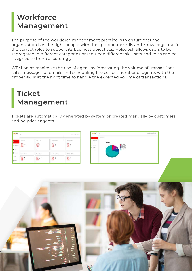### **Workforce Management**

The purpose of the workforce management practice is to ensure that the organization has the right people with the appropriate skills and knowledge and in the correct roles to support its business objectives. Helpdesk allows users to be segregated in different categories based upon different skill sets and roles can be assigned to them accordingly.

WFM helps maximize the use of agent by forecasting the volume of transactions calls, messages or emails and scheduling the correct number of agents with the proper skills at the right time to handle the expected volume of transactions.

# **Ticket Management**

Tickets are automatically generated by system or created manually by customers and helpdesk agents.

| -SD                           | $\Xi$<br>WARRTSHISSING.CH.E |              |                   |                           | integ                      |
|-------------------------------|-----------------------------|--------------|-------------------|---------------------------|----------------------------|
|                               | At Tolvis                   | Open Trouts  | Ausgred Tickets   | ×<br>Festing Tickets<br>× | D. Circle                  |
| C certarum<br><b>B</b> Piters | $\mathbb{B}^{99}$           | U            | 國8                | $B_8$                     | <b>B</b> Preside<br>A more |
| A memory                      | Resolved Tickets            | Coard Tolers | fie Opered Tokes: | <b>MA Open Tickets</b>    | k for                      |
| hies<br><b>B</b> Room         | $\frac{25}{36}$ 8           | <b>B</b> 69  | $\mathbb{B}$ 3    | B                         |                            |



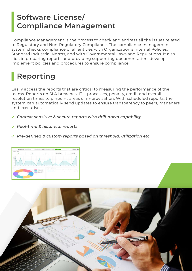# **Software License/ Compliance Management**

Compliance Management is the process to check and address all the issues related to Regulatory and Non-Regulatory Compliance. The compliance management system checks compliance of all entities with Organization's Internal Policies, Standard Industrial Norms, and with Governmental Laws and Regulations. It also aids in preparing reports and providing supporting documentation, develop, implement policies and procedures to ensure compliance.

# **Reporting**

Easily access the reports that are critical to measuring the performance of the teams. Reports on SLA breaches, ITIL processes, penalty, credit and overall resolution times to pinpoint areas of improvisation. With scheduled reports, the system can automatically send updates to ensure transparency to peers, managers and executives.

- *Context sensitive & secure reports with drill-down capability*
- *Real-time & historical reports*
- *Pre-defined & custom reports based on threshold, utilization etc*